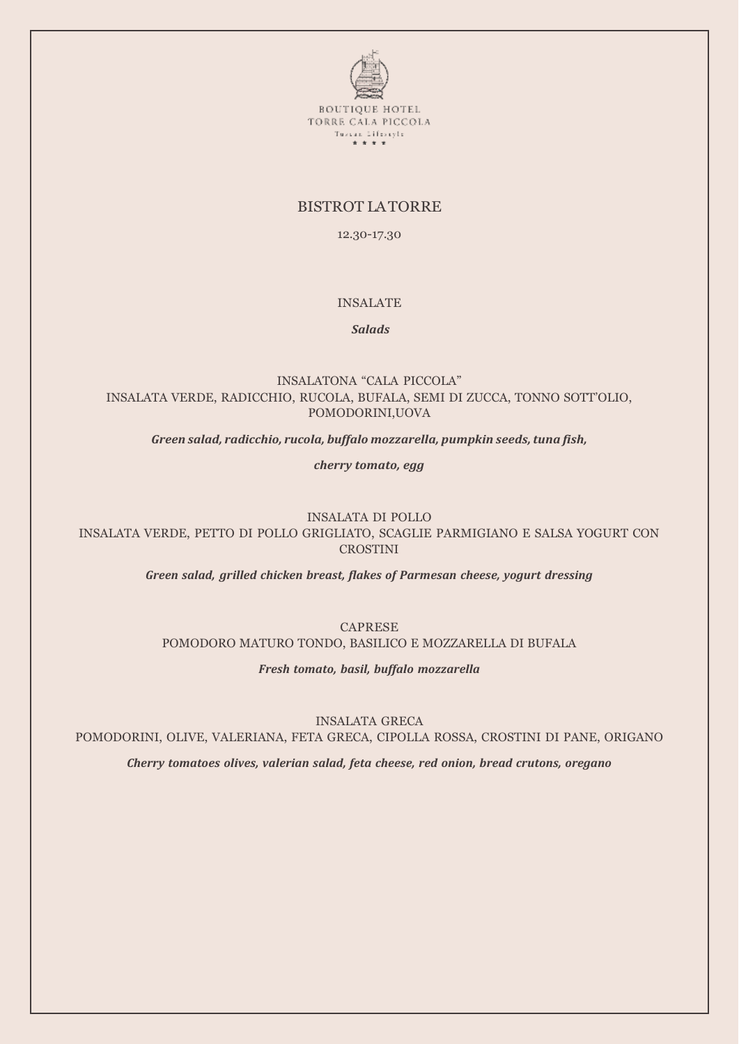

# BISTROT LA TORRE

12.30-17.30

## INSALATE

*Salads*

INSALATONA "CALA PICCOLA" INSALATA VERDE, RADICCHIO, RUCOLA, BUFALA, SEMI DI ZUCCA, TONNO SOTT'OLIO, POMODORINI,UOVA

*Green salad, radicchio, rucola, buffalo mozzarella, pumpkin seeds, tuna fish,*

*cherry tomato, egg*

INSALATA DI POLLO INSALATA VERDE, PETTO DI POLLO GRIGLIATO, SCAGLIE PARMIGIANO E SALSA YOGURT CON CROSTINI

*Green salad, grilled chicken breast, flakes of Parmesan cheese, yogurt dressing*

CAPRESE

POMODORO MATURO TONDO, BASILICO E MOZZARELLA DI BUFALA

*Fresh tomato, basil, buffalo mozzarella*

INSALATA GRECA

POMODORINI, OLIVE, VALERIANA, FETA GRECA, CIPOLLA ROSSA, CROSTINI DI PANE, ORIGANO

*Cherry tomatoes olives, valerian salad, feta cheese, red onion, bread crutons, oregano*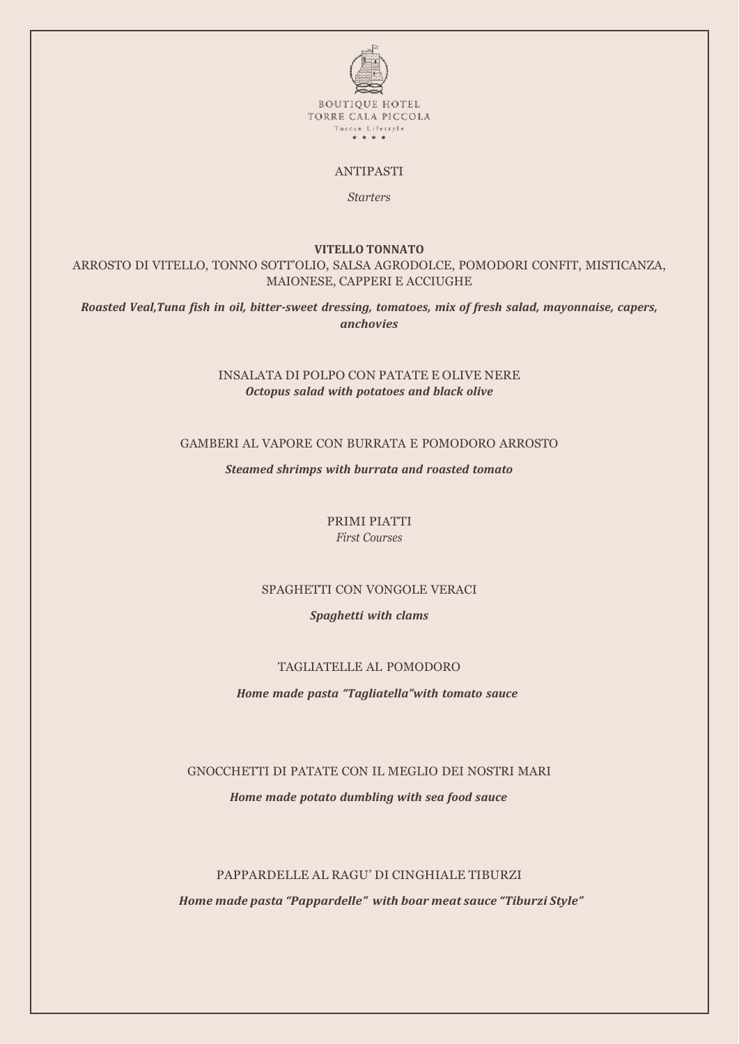

### ANTIPASTI

*Starters*

#### **VITELLO TONNATO**

ARROSTO DI VITELLO, TONNO SOTT'OLIO, SALSA AGRODOLCE, POMODORI CONFIT, MISTICANZA, MAIONESE, CAPPERI E ACCIUGHE

*Roasted Veal,Tuna fish in oil, bitter-sweet dressing, tomatoes, mix of fresh salad, mayonnaise, capers, anchovies*

## INSALATA DI POLPO CON PATATE E OLIVE NERE *Octopus salad with potatoes and black olive*

## GAMBERI AL VAPORE CON BURRATA E POMODORO ARROSTO

*Steamed shrimps with burrata and roasted tomato*

PRIMI PIATTI *First Courses*

### SPAGHETTI CON VONGOLE VERACI

#### *Spaghetti with clams*

#### TAGLIATELLE AL POMODORO

*Home made pasta "Tagliatella"with tomato sauce*

#### GNOCCHETTI DI PATATE CON IL MEGLIO DEI NOSTRI MARI

*Home made potato dumbling with sea food sauce*

## PAPPARDELLE AL RAGU' DI CINGHIALE TIBURZI

*Home made pasta "Pappardelle" with boar meat sauce "Tiburzi Style"*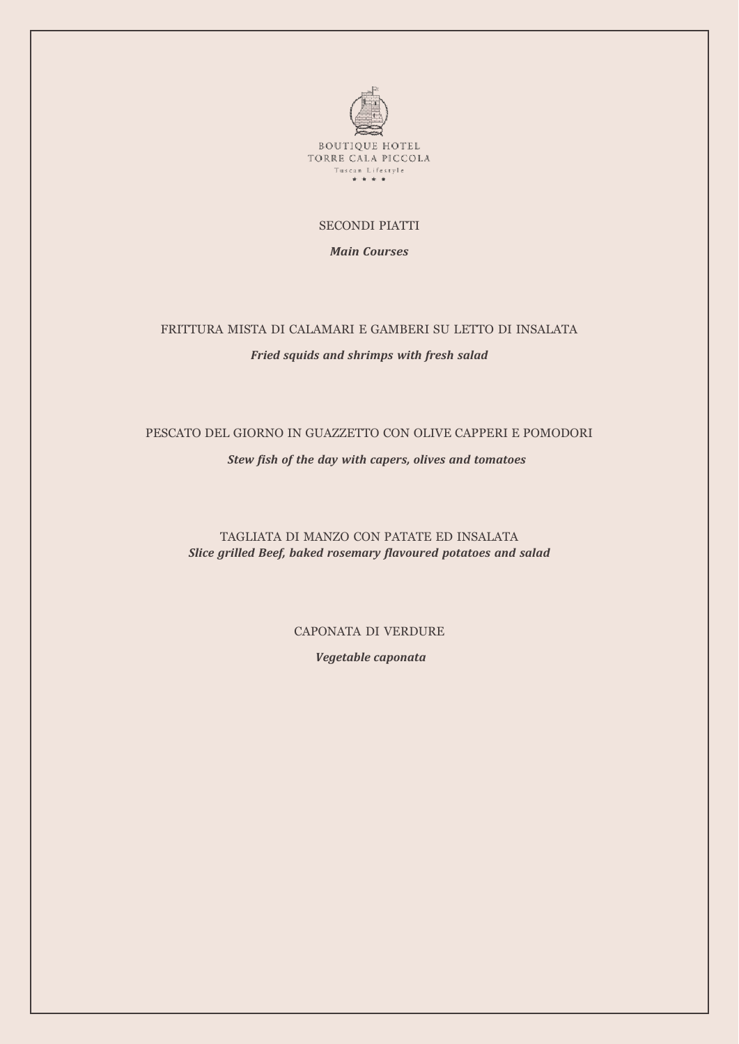

## SECONDI PIATTI

*Main Courses*

## FRITTURA MISTA DI CALAMARI E GAMBERI SU LETTO DI INSALATA

#### *Fried squids and shrimps with fresh salad*

# PESCATO DEL GIORNO IN GUAZZETTO CON OLIVE CAPPERI E POMODORI

*Stew fish of the day with capers, olives and tomatoes*

TAGLIATA DI MANZO CON PATATE ED INSALATA *Slice grilled Beef, baked rosemary flavoured potatoes and salad*

CAPONATA DI VERDURE

*Vegetable caponata*